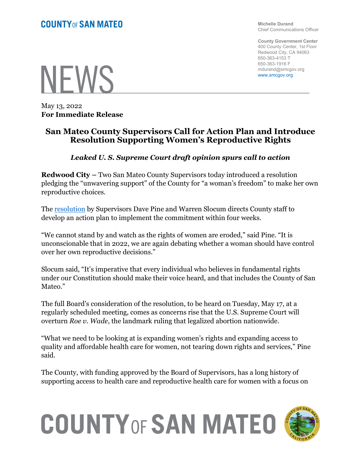Michelle Durand Chief Communications Officer

County Government Center 400 County Center, 1st Floor Redwood City, CA 94063 650-363-4153 T 650-363-1916 F mdurand@smcgov.org www.smcgov.org



May 13, 2022 For Immediate Release

## San Mateo County Supervisors Call for Action Plan and Introduce Resolution Supporting Women's Reproductive Rights

#### Leaked U. S. Supreme Court draft opinion spurs call to action

Redwood City – Two San Mateo County Supervisors today introduced a resolution pledging the "unwavering support" of the County for "a woman's freedom" to make her own reproductive choices.

The resolution by Supervisors Dave Pine and Warren Slocum directs County staff to develop an action plan to implement the commitment within four weeks.

"We cannot stand by and watch as the rights of women are eroded," said Pine. "It is unconscionable that in 2022, we are again debating whether a woman should have control over her own reproductive decisions."

Slocum said, "It's imperative that every individual who believes in fundamental rights under our Constitution should make their voice heard, and that includes the County of San Mateo."

The full Board's consideration of the resolution, to be heard on Tuesday, May 17, at a regularly scheduled meeting, comes as concerns rise that the U.S. Supreme Court will overturn Roe v. Wade, the landmark ruling that legalized abortion nationwide.

"What we need to be looking at is expanding women's rights and expanding access to quality and affordable health care for women, not tearing down rights and services," Pine said.

The County, with funding approved by the Board of Supervisors, has a long history of supporting access to health care and reproductive health care for women with a focus on